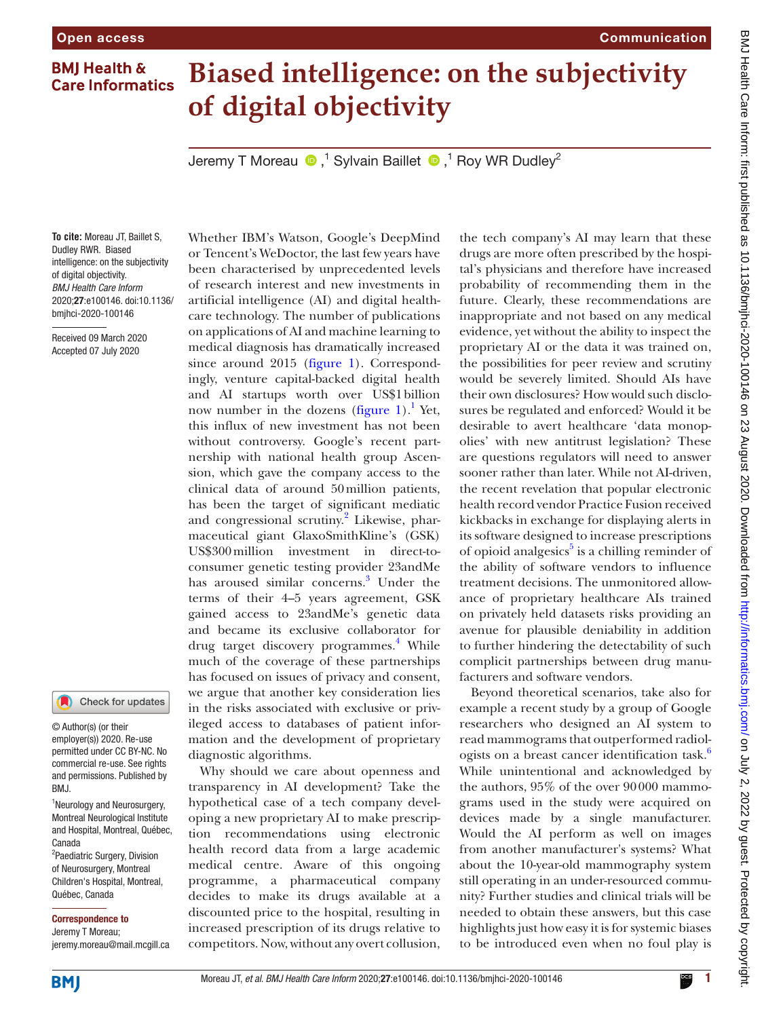**BMJ Health &** 

# **Biased intelligence: on the subjectivity Care Informatics of digital objectivity**

JeremyT Moreau <sup>1</sup>,<sup>1</sup> Sylvain Baillet <sup>1</sup>,<sup>1</sup> Roy WR Dudley<sup>2</sup>

**To cite:** Moreau JT, Baillet S, Dudley RWR. Biased intelligence: on the subjectivity of digital objectivity. *BMJ Health Care Inform* 2020;27:e100146. doi:10.1136/ bmjhci-2020-100146

Received 09 March 2020 Accepted 07 July 2020

## Check for updates

© Author(s) (or their employer(s)) 2020. Re-use permitted under CC BY-NC. No commercial re-use. See rights and permissions. Published by BMJ.

<sup>1</sup>Neurology and Neurosurgery, Montreal Neurological Institute and Hospital, Montreal, Québec, Canada

<sup>2</sup> Paediatric Surgery, Division of Neurosurgery, Montreal Children's Hospital, Montreal, Québec, Canada

#### Correspondence to

Jeremy T Moreau; jeremy.moreau@mail.mcgill.ca

Whether IBM's Watson, Google's DeepMind or Tencent's WeDoctor, the last few years have been characterised by unprecedented levels of research interest and new investments in artificial intelligence (AI) and digital healthcare technology. The number of publications on applications of AI and machine learning to medical diagnosis has dramatically increased since around 2015 ([figure](#page-1-0) 1). Correspondingly, venture capital-backed digital health and AI startups worth over US\$1billion now number in the dozens [\(figure](#page-1-0) [1](#page-3-0)).<sup>1</sup> Yet, this influx of new investment has not been without controversy. Google's recent partnership with national health group Ascension, which gave the company access to the clinical data of around 50million patients, has been the target of significant mediatic and congressional scrutiny.<sup>2</sup> Likewise, pharmaceutical giant GlaxoSmithKline's (GSK) US\$300million investment in direct-toconsumer genetic testing provider 23andMe has aroused similar concerns.<sup>[3](#page-3-2)</sup> Under the terms of their 4–5 years agreement, GSK gained access to 23andMe's genetic data and became its exclusive collaborator for drug target discovery programmes.<sup>4</sup> While much of the coverage of these partnerships has focused on issues of privacy and consent, we argue that another key consideration lies in the risks associated with exclusive or privileged access to databases of patient information and the development of proprietary diagnostic algorithms.

Why should we care about openness and transparency in AI development? Take the hypothetical case of a tech company developing a new proprietary AI to make prescription recommendations using electronic health record data from a large academic medical centre. Aware of this ongoing programme, a pharmaceutical company decides to make its drugs available at a discounted price to the hospital, resulting in increased prescription of its drugs relative to competitors. Now, without any overt collusion,

the tech company's AI may learn that these drugs are more often prescribed by the hospital's physicians and therefore have increased probability of recommending them in the future. Clearly, these recommendations are inappropriate and not based on any medical evidence, yet without the ability to inspect the proprietary AI or the data it was trained on, the possibilities for peer review and scrutiny would be severely limited. Should AIs have their own disclosures? How would such disclosures be regulated and enforced? Would it be desirable to avert healthcare 'data monopolies' with new antitrust legislation? These are questions regulators will need to answer sooner rather than later. While not AI-driven, the recent revelation that popular electronic health record vendor Practice Fusion received kickbacks in exchange for displaying alerts in its software designed to increase prescriptions of opioid analgesics<sup>5</sup> is a chilling reminder of the ability of software vendors to influence treatment decisions. The unmonitored allowance of proprietary healthcare AIs trained on privately held datasets risks providing an avenue for plausible deniability in addition to further hindering the detectability of such complicit partnerships between drug manufacturers and software vendors.

Beyond theoretical scenarios, take also for example a recent study by a group of Google researchers who designed an AI system to read mammograms that outperformed radiol-ogists on a breast cancer identification task.<sup>[6](#page-3-5)</sup> While unintentional and acknowledged by the authors, 95% of the over 90000 mammograms used in the study were acquired on devices made by a single manufacturer. Would the AI perform as well on images from another manufacturer's systems? What about the 10-year-old mammography system still operating in an under-resourced community? Further studies and clinical trials will be needed to obtain these answers, but this case highlights just how easy it is for systemic biases to be introduced even when no foul play is



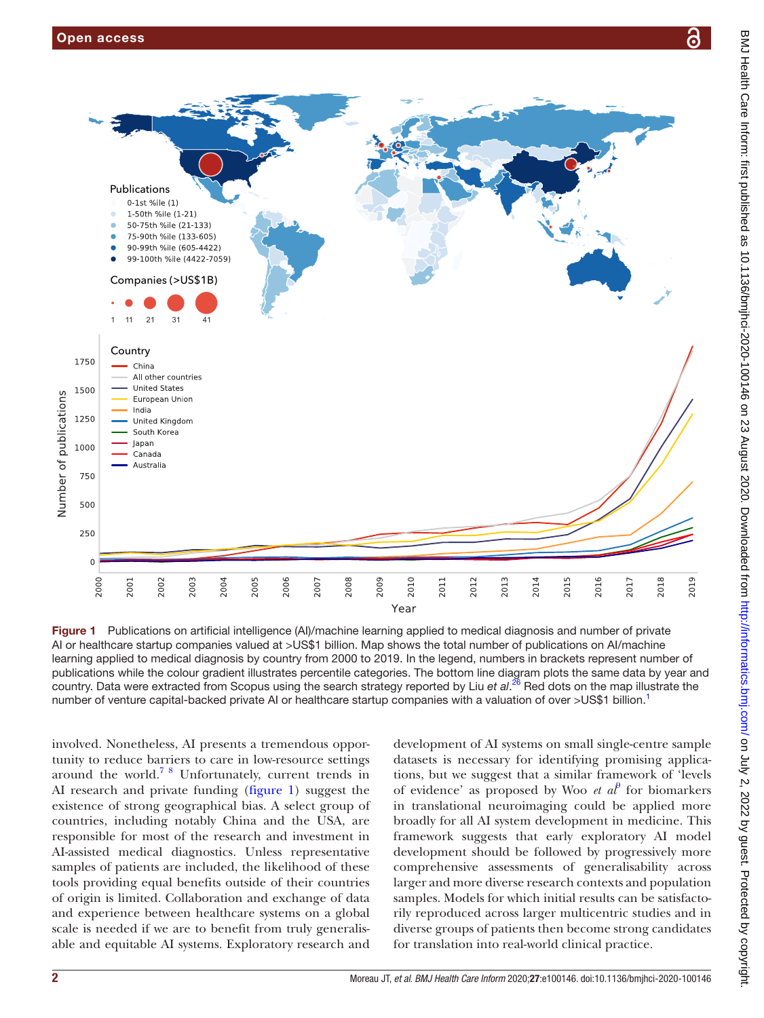

<span id="page-1-0"></span>Figure 1 Publications on artificial intelligence (AI)/machine learning applied to medical diagnosis and number of private AI or healthcare startup companies valued at >US\$1 billion. Map shows the total number of publications on AI/machine learning applied to medical diagnosis by country from 2000 to 2019. In the legend, numbers in brackets represent number of publications while the colour gradient illustrates percentile categories. The bottom line diagram plots the same data by year and country. Data were extracted from Scopus using the search strategy reported by Liu *et al*. [26](#page-3-8) Red dots on the map illustrate the number of venture capital-backed private AI or healthcare startup companies with a valuation of over >US\$[1](#page-3-0) billion.<sup>1</sup>

involved. Nonetheless, AI presents a tremendous opportunity to reduce barriers to care in low-resource settings around the world.[7 8](#page-3-6) Unfortunately, current trends in AI research and private funding [\(figure](#page-1-0) 1) suggest the existence of strong geographical bias. A select group of countries, including notably China and the USA, are responsible for most of the research and investment in AI-assisted medical diagnostics. Unless representative samples of patients are included, the likelihood of these tools providing equal benefits outside of their countries of origin is limited. Collaboration and exchange of data and experience between healthcare systems on a global scale is needed if we are to benefit from truly generalisable and equitable AI systems. Exploratory research and

development of AI systems on small single-centre sample datasets is necessary for identifying promising applications, but we suggest that a similar framework of 'levels of evidence' as proposed by Woo  $et\ a^{\beta}$  for biomarkers in translational neuroimaging could be applied more broadly for all AI system development in medicine. This framework suggests that early exploratory AI model development should be followed by progressively more comprehensive assessments of generalisability across larger and more diverse research contexts and population samples. Models for which initial results can be satisfactorily reproduced across larger multicentric studies and in diverse groups of patients then become strong candidates for translation into real-world clinical practice.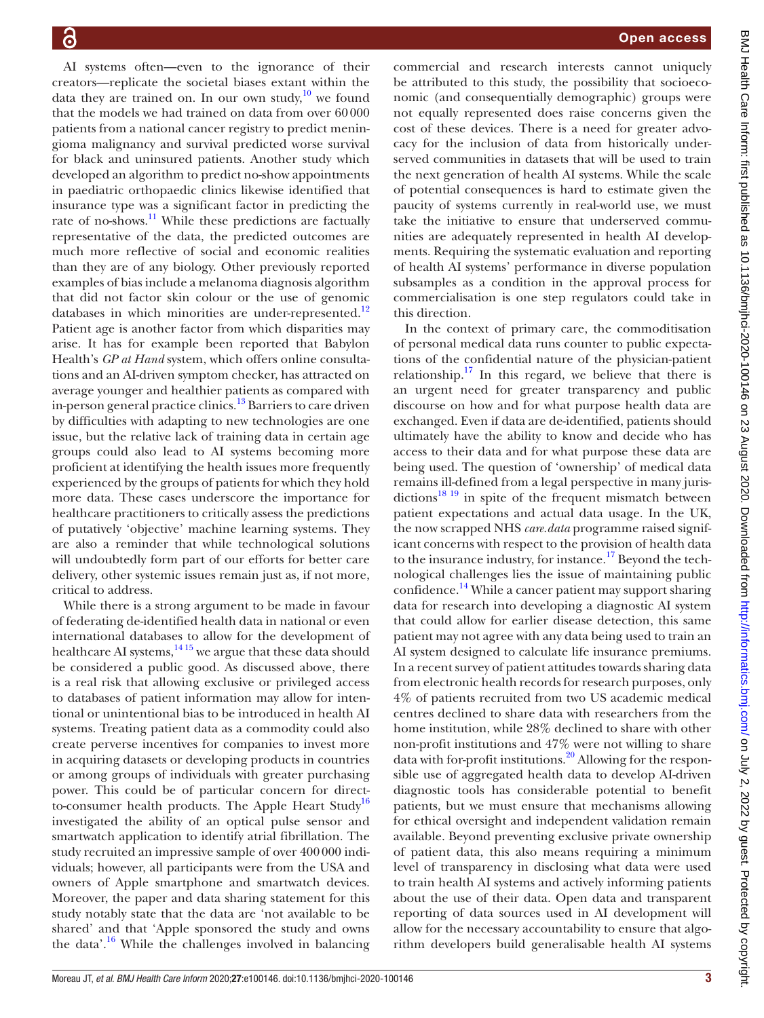AI systems often—even to the ignorance of their creators—replicate the societal biases extant within the data they are trained on. In our own study, $10$  we found that the models we had trained on data from over 60000 patients from a national cancer registry to predict meningioma malignancy and survival predicted worse survival for black and uninsured patients. Another study which developed an algorithm to predict no-show appointments in paediatric orthopaedic clinics likewise identified that insurance type was a significant factor in predicting the rate of no-shows.<sup>11</sup> While these predictions are factually representative of the data, the predicted outcomes are much more reflective of social and economic realities than they are of any biology. Other previously reported examples of bias include a melanoma diagnosis algorithm that did not factor skin colour or the use of genomic databases in which minorities are under-represented.<sup>12</sup> Patient age is another factor from which disparities may arise. It has for example been reported that Babylon Health's *GP at Hand* system, which offers online consultations and an AI-driven symptom checker, has attracted on average younger and healthier patients as compared with in-person general practice clinics.[13](#page-3-12) Barriers to care driven by difficulties with adapting to new technologies are one issue, but the relative lack of training data in certain age groups could also lead to AI systems becoming more proficient at identifying the health issues more frequently experienced by the groups of patients for which they hold more data. These cases underscore the importance for healthcare practitioners to critically assess the predictions of putatively 'objective' machine learning systems. They are also a reminder that while technological solutions will undoubtedly form part of our efforts for better care delivery, other systemic issues remain just as, if not more, critical to address.

While there is a strong argument to be made in favour of federating de-identified health data in national or even international databases to allow for the development of healthcare AI systems,<sup>1415</sup> we argue that these data should be considered a public good. As discussed above, there is a real risk that allowing exclusive or privileged access to databases of patient information may allow for intentional or unintentional bias to be introduced in health AI systems. Treating patient data as a commodity could also create perverse incentives for companies to invest more in acquiring datasets or developing products in countries or among groups of individuals with greater purchasing power. This could be of particular concern for direct-to-consumer health products. The Apple Heart Study<sup>[16](#page-3-14)</sup> investigated the ability of an optical pulse sensor and smartwatch application to identify atrial fibrillation. The study recruited an impressive sample of over 400000 individuals; however, all participants were from the USA and owners of Apple smartphone and smartwatch devices. Moreover, the paper and data sharing statement for this study notably state that the data are 'not available to be shared' and that 'Apple sponsored the study and owns the data'. $16$  While the challenges involved in balancing

commercial and research interests cannot uniquely be attributed to this study, the possibility that socioeconomic (and consequentially demographic) groups were not equally represented does raise concerns given the cost of these devices. There is a need for greater advocacy for the inclusion of data from historically underserved communities in datasets that will be used to train the next generation of health AI systems. While the scale of potential consequences is hard to estimate given the paucity of systems currently in real-world use, we must take the initiative to ensure that underserved communities are adequately represented in health AI developments. Requiring the systematic evaluation and reporting of health AI systems' performance in diverse population subsamples as a condition in the approval process for commercialisation is one step regulators could take in this direction.

In the context of primary care, the commoditisation of personal medical data runs counter to public expectations of the confidential nature of the physician-patient relationship. $17$  In this regard, we believe that there is an urgent need for greater transparency and public discourse on how and for what purpose health data are exchanged. Even if data are de-identified, patients should ultimately have the ability to know and decide who has access to their data and for what purpose these data are being used. The question of 'ownership' of medical data remains ill-defined from a legal perspective in many jurisdictions<sup>18 19</sup> in spite of the frequent mismatch between patient expectations and actual data usage. In the UK, the now scrapped NHS *care.data* programme raised significant concerns with respect to the provision of health data to the insurance industry, for instance.<sup>17</sup> Beyond the technological challenges lies the issue of maintaining public confidence.<sup>14</sup> While a cancer patient may support sharing data for research into developing a diagnostic AI system that could allow for earlier disease detection, this same patient may not agree with any data being used to train an AI system designed to calculate life insurance premiums. In a recent survey of patient attitudes towards sharing data from electronic health records for research purposes, only 4% of patients recruited from two US academic medical centres declined to share data with researchers from the home institution, while 28% declined to share with other non-profit institutions and 47% were not willing to share data with for-profit institutions.<sup>[20](#page-3-17)</sup> Allowing for the responsible use of aggregated health data to develop AI-driven diagnostic tools has considerable potential to benefit patients, but we must ensure that mechanisms allowing for ethical oversight and independent validation remain available. Beyond preventing exclusive private ownership of patient data, this also means requiring a minimum level of transparency in disclosing what data were used to train health AI systems and actively informing patients about the use of their data. Open data and transparent reporting of data sources used in AI development will allow for the necessary accountability to ensure that algorithm developers build generalisable health AI systems BMJ Health Care Inform: first published as 10.1136/bmjhci-2020-100146 on 23 August 2020. Downloaded frommatics.bmj.com/ BMJ AmJ Health Care Intected by copyright.

BMJ Health Care Inform: first published as 10.1136/bmjhci-2020-100146 on 23 August 2020. Downloaded from http://informatics.bmj.com/ on July 2, 2022 by guest. Protected by copyright.